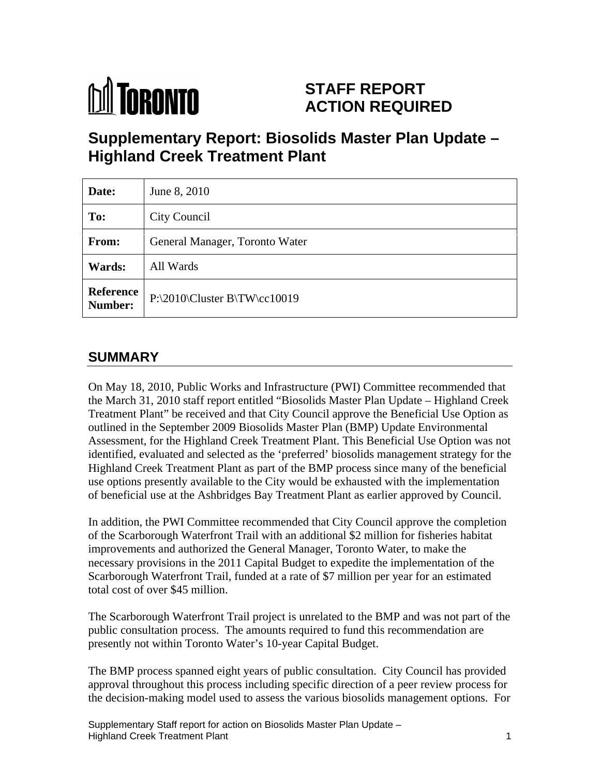

# **STAFF REPORT ACTION REQUIRED**

# **Supplementary Report: Biosolids Master Plan Update – Highland Creek Treatment Plant**

| Date:        | June 8, 2010                              |
|--------------|-------------------------------------------|
| To:          | City Council                              |
| <b>From:</b> | General Manager, Toronto Water            |
| Wards:       | All Wards                                 |
|              | Reference $P:\2010\Cluster B\TW\cc 10019$ |

## **SUMMARY**

On May 18, 2010, Public Works and Infrastructure (PWI) Committee recommended that the March 31, 2010 staff report entitled "Biosolids Master Plan Update – Highland Creek Treatment Plant" be received and that City Council approve the Beneficial Use Option as outlined in the September 2009 Biosolids Master Plan (BMP) Update Environmental Assessment, for the Highland Creek Treatment Plant. This Beneficial Use Option was not identified, evaluated and selected as the 'preferred' biosolids management strategy for the Highland Creek Treatment Plant as part of the BMP process since many of the beneficial use options presently available to the City would be exhausted with the implementation of beneficial use at the Ashbridges Bay Treatment Plant as earlier approved by Council.

In addition, the PWI Committee recommended that City Council approve the completion of the Scarborough Waterfront Trail with an additional \$2 million for fisheries habitat improvements and authorized the General Manager, Toronto Water, to make the necessary provisions in the 2011 Capital Budget to expedite the implementation of the Scarborough Waterfront Trail, funded at a rate of \$7 million per year for an estimated total cost of over \$45 million.

The Scarborough Waterfront Trail project is unrelated to the BMP and was not part of the public consultation process. The amounts required to fund this recommendation are presently not within Toronto Water's 10-year Capital Budget.

The BMP process spanned eight years of public consultation. City Council has provided approval throughout this process including specific direction of a peer review process for the decision-making model used to assess the various biosolids management options. For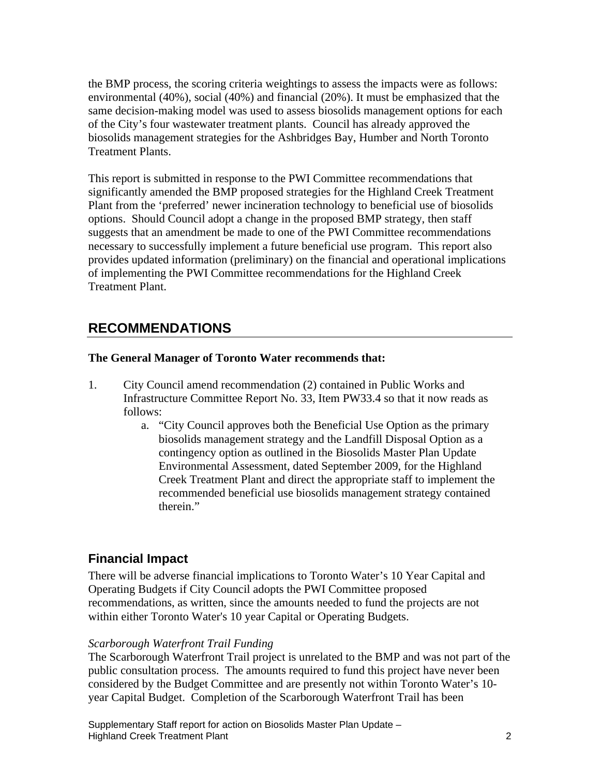the BMP process, the scoring criteria weightings to assess the impacts were as follows: environmental (40%), social (40%) and financial (20%). It must be emphasized that the same decision-making model was used to assess biosolids management options for each of the City's four wastewater treatment plants. Council has already approved the biosolids management strategies for the Ashbridges Bay, Humber and North Toronto Treatment Plants.

This report is submitted in response to the PWI Committee recommendations that significantly amended the BMP proposed strategies for the Highland Creek Treatment Plant from the 'preferred' newer incineration technology to beneficial use of biosolids options. Should Council adopt a change in the proposed BMP strategy, then staff suggests that an amendment be made to one of the PWI Committee recommendations necessary to successfully implement a future beneficial use program. This report also provides updated information (preliminary) on the financial and operational implications of implementing the PWI Committee recommendations for the Highland Creek Treatment Plant.

## **RECOMMENDATIONS**

#### **The General Manager of Toronto Water recommends that:**

- 1. City Council amend recommendation (2) contained in Public Works and Infrastructure Committee Report No. 33, Item PW33.4 so that it now reads as follows:
	- a. "City Council approves both the Beneficial Use Option as the primary biosolids management strategy and the Landfill Disposal Option as a contingency option as outlined in the Biosolids Master Plan Update Environmental Assessment, dated September 2009, for the Highland Creek Treatment Plant and direct the appropriate staff to implement the recommended beneficial use biosolids management strategy contained therein."

## **Financial Impact**

There will be adverse financial implications to Toronto Water's 10 Year Capital and Operating Budgets if City Council adopts the PWI Committee proposed recommendations, as written, since the amounts needed to fund the projects are not within either Toronto Water's 10 year Capital or Operating Budgets.

#### *Scarborough Waterfront Trail Funding*

The Scarborough Waterfront Trail project is unrelated to the BMP and was not part of the public consultation process. The amounts required to fund this project have never been considered by the Budget Committee and are presently not within Toronto Water's 10 year Capital Budget. Completion of the Scarborough Waterfront Trail has been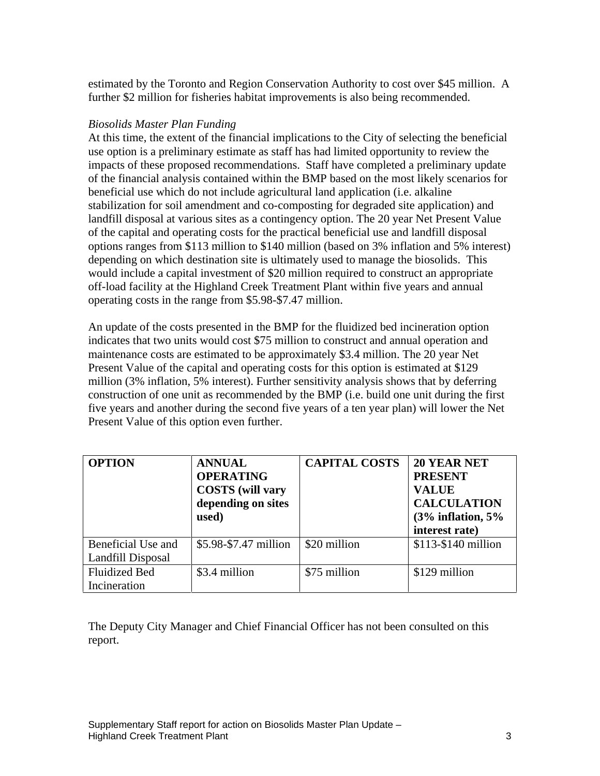estimated by the Toronto and Region Conservation Authority to cost over \$45 million. A further \$2 million for fisheries habitat improvements is also being recommended.

#### *Biosolids Master Plan Funding*

At this time, the extent of the financial implications to the City of selecting the beneficial use option is a preliminary estimate as staff has had limited opportunity to review the impacts of these proposed recommendations. Staff have completed a preliminary update of the financial analysis contained within the BMP based on the most likely scenarios for beneficial use which do not include agricultural land application (i.e. alkaline stabilization for soil amendment and co-composting for degraded site application) and landfill disposal at various sites as a contingency option. The 20 year Net Present Value of the capital and operating costs for the practical beneficial use and landfill disposal options ranges from \$113 million to \$140 million (based on 3% inflation and 5% interest) depending on which destination site is ultimately used to manage the biosolids. This would include a capital investment of \$20 million required to construct an appropriate off-load facility at the Highland Creek Treatment Plant within five years and annual operating costs in the range from \$5.98-\$7.47 million.

An update of the costs presented in the BMP for the fluidized bed incineration option indicates that two units would cost \$75 million to construct and annual operation and maintenance costs are estimated to be approximately \$3.4 million. The 20 year Net Present Value of the capital and operating costs for this option is estimated at \$129 million (3% inflation, 5% interest). Further sensitivity analysis shows that by deferring construction of one unit as recommended by the BMP (i.e. build one unit during the first five years and another during the second five years of a ten year plan) will lower the Net Present Value of this option even further.

| <b>OPTION</b>        | <b>ANNUAL</b>                                                                                                                   | CAPITAL COSTS   20 YEAR NET |                                   |
|----------------------|---------------------------------------------------------------------------------------------------------------------------------|-----------------------------|-----------------------------------|
|                      | <b>OPERATING</b>                                                                                                                |                             | <b>PRESENT</b>                    |
|                      | COSTS (will vary                                                                                                                |                             | <b>VALUE</b>                      |
|                      | depending on sites                                                                                                              |                             | <b>CALCULATION</b>                |
|                      | used)                                                                                                                           |                             | $\vert$ (3% inflation, 5%         |
|                      |                                                                                                                                 |                             | interest rate)                    |
|                      | Beneficial Use and $\left  \frac{15.98 - 17 \text{ million}}{15.98 - 17.47 \text{ million}} \right  \approx 20 \text{ million}$ |                             | $\frac{1}{2}$ \$113-\$140 million |
| Landfill Disposal    |                                                                                                                                 |                             |                                   |
| <b>Fluidized Bed</b> | \$3.4 million                                                                                                                   | \$75 million                | $$129$ million                    |
| Incineration         |                                                                                                                                 |                             |                                   |

The Deputy City Manager and Chief Financial Officer has not been consulted on this report.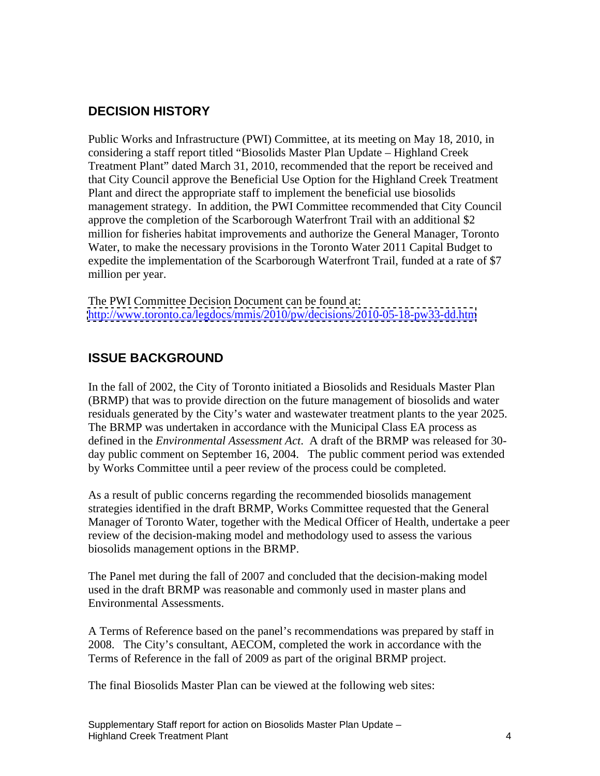## **DECISION HISTORY**

Public Works and Infrastructure (PWI) Committee, at its meeting on May 18, 2010, in considering a staff report titled "Biosolids Master Plan Update – Highland Creek Treatment Plant" dated March 31, 2010, recommended that the report be received and that City Council approve the Beneficial Use Option for the Highland Creek Treatment Plant and direct the appropriate staff to implement the beneficial use biosolids management strategy. In addition, the PWI Committee recommended that City Council approve the completion of the Scarborough Waterfront Trail with an additional \$2 million for fisheries habitat improvements and authorize the General Manager, Toronto Water, to make the necessary provisions in the Toronto Water 2011 Capital Budget to expedite the implementation of the Scarborough Waterfront Trail, funded at a rate of \$7 million per year.

The PWI Committee Decision Document can be found at: <http://www.toronto.ca/legdocs/mmis/2010/pw/decisions/2010-05-18-pw33-dd.htm>

## **ISSUE BACKGROUND**

In the fall of 2002, the City of Toronto initiated a Biosolids and Residuals Master Plan (BRMP) that was to provide direction on the future management of biosolids and water residuals generated by the City's water and wastewater treatment plants to the year 2025. The BRMP was undertaken in accordance with the Municipal Class EA process as defined in the *Environmental Assessment Act*. A draft of the BRMP was released for 30 day public comment on September 16, 2004. The public comment period was extended by Works Committee until a peer review of the process could be completed.

As a result of public concerns regarding the recommended biosolids management strategies identified in the draft BRMP, Works Committee requested that the General Manager of Toronto Water, together with the Medical Officer of Health, undertake a peer review of the decision-making model and methodology used to assess the various biosolids management options in the BRMP.

The Panel met during the fall of 2007 and concluded that the decision-making model used in the draft BRMP was reasonable and commonly used in master plans and Environmental Assessments.

A Terms of Reference based on the panel's recommendations was prepared by staff in 2008. The City's consultant, AECOM, completed the work in accordance with the Terms of Reference in the fall of 2009 as part of the original BRMP project.

The final Biosolids Master Plan can be viewed at the following web sites: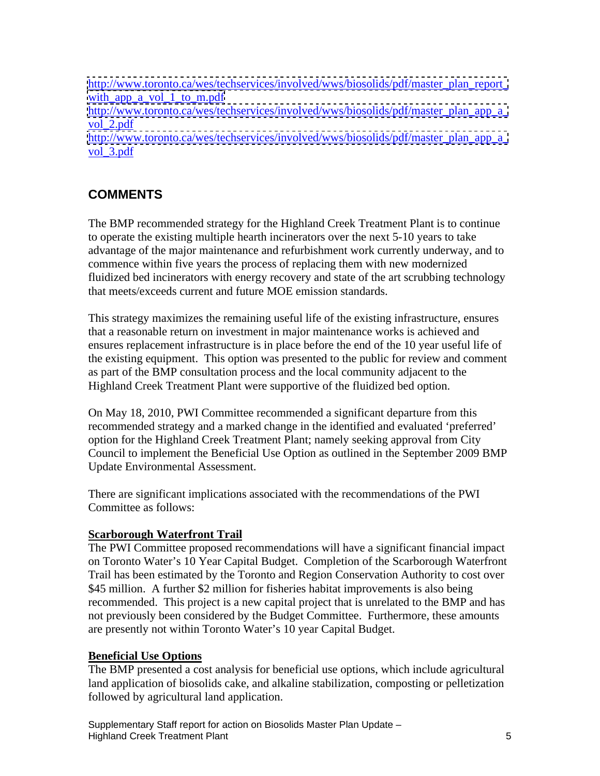[http://www.toronto.ca/wes/techservices/involved/wws/biosolids/pdf/master\\_plan\\_report\\_](http://www.toronto.ca/wes/techservices/involved/wws/biosolids/pdf/master_plan_report_) [with\\_app\\_a\\_vol\\_1\\_to\\_m.pdf](http://with_app_a_vol_1_to_m.pdf) http://www.toronto.ca/wes/techservices/involved/wws/biosolids/pdf/master\_plan\_app\_a vol\_2.pdf and the state of the state of the state of the state of the state of the state of the state of the state of the state of the state of the state of the state of the state of the state of the state of the state of http://www.toronto.ca/wes/techservices/involved/wws/biosolids/pdf/master\_plan\_app\_a vol\_3.pdf and a set of the set of the set of the set of the set of the set of the set of the set of the set of the set of the set of the set of the set of the set of the set of the set of the set of the set of the set of t

## **COMMENTS**

The BMP recommended strategy for the Highland Creek Treatment Plant is to continue to operate the existing multiple hearth incinerators over the next 5-10 years to take advantage of the major maintenance and refurbishment work currently underway, and to commence within five years the process of replacing them with new modernized fluidized bed incinerators with energy recovery and state of the art scrubbing technology that meets/exceeds current and future MOE emission standards.

This strategy maximizes the remaining useful life of the existing infrastructure, ensures that a reasonable return on investment in major maintenance works is achieved and ensures replacement infrastructure is in place before the end of the 10 year useful life of the existing equipment. This option was presented to the public for review and comment as part of the BMP consultation process and the local community adjacent to the Highland Creek Treatment Plant were supportive of the fluidized bed option.

On May 18, 2010, PWI Committee recommended a significant departure from this recommended strategy and a marked change in the identified and evaluated 'preferred' option for the Highland Creek Treatment Plant; namely seeking approval from City Council to implement the Beneficial Use Option as outlined in the September 2009 BMP Update Environmental Assessment.

There are significant implications associated with the recommendations of the PWI Committee as follows:

### **Scarborough Waterfront Trail**

The PWI Committee proposed recommendations will have a significant financial impact on Toronto Water's 10 Year Capital Budget. Completion of the Scarborough Waterfront Trail has been estimated by the Toronto and Region Conservation Authority to cost over \$45 million. A further \$2 million for fisheries habitat improvements is also being recommended. This project is a new capital project that is unrelated to the BMP and has not previously been considered by the Budget Committee. Furthermore, these amounts are presently not within Toronto Water's 10 year Capital Budget.

### **Beneficial Use Options**

The BMP presented a cost analysis for beneficial use options, which include agricultural land application of biosolids cake, and alkaline stabilization, composting or pelletization followed by agricultural land application.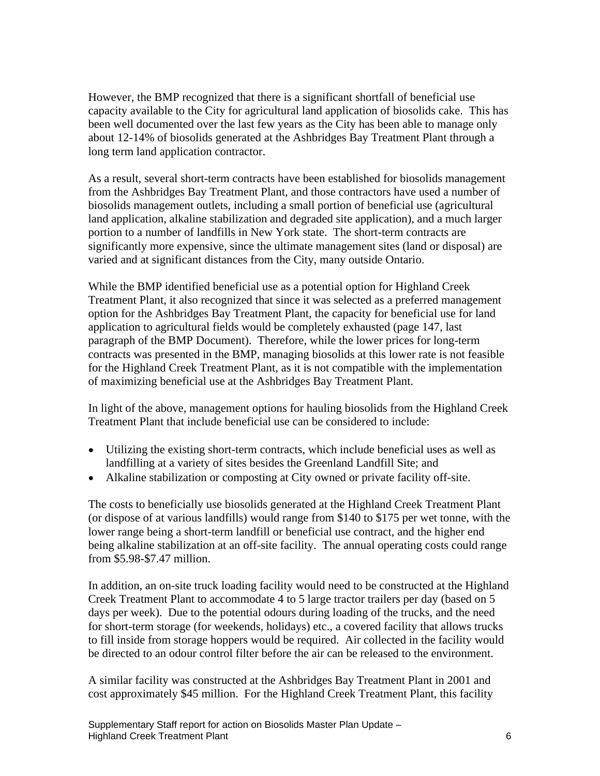However, the BMP recognized that there is a significant shortfall of beneficial use capacity available to the City for agricultural land application of biosolids cake. This has been well documented over the last few years as the City has been able to manage only about 12-14% of biosolids generated at the Ashbridges Bay Treatment Plant through a long term land application contractor.

As a result, several short-term contracts have been established for biosolids management from the Ashbridges Bay Treatment Plant, and those contractors have used a number of biosolids management outlets, including a small portion of beneficial use (agricultural land application, alkaline stabilization and degraded site application), and a much larger portion to a number of landfills in New York state. The short-term contracts are significantly more expensive, since the ultimate management sites (land or disposal) are varied and at significant distances from the City, many outside Ontario.

While the BMP identified beneficial use as a potential option for Highland Creek Treatment Plant, it also recognized that since it was selected as a preferred management option for the Ashbridges Bay Treatment Plant, the capacity for beneficial use for land application to agricultural fields would be completely exhausted (page 147, last paragraph of the BMP Document). Therefore, while the lower prices for long-term contracts was presented in the BMP, managing biosolids at this lower rate is not feasible for the Highland Creek Treatment Plant, as it is not compatible with the implementation of maximizing beneficial use at the Ashbridges Bay Treatment Plant.

In light of the above, management options for hauling biosolids from the Highland Creek Treatment Plant that include beneficial use can be considered to include:

- Utilizing the existing short-term contracts, which include beneficial uses as well as landfilling at a variety of sites besides the Greenland Landfill Site; and
- Alkaline stabilization or composting at City owned or private facility off-site.

The costs to beneficially use biosolids generated at the Highland Creek Treatment Plant (or dispose of at various landfills) would range from \$140 to \$175 per wet tonne, with the lower range being a short-term landfill or beneficial use contract, and the higher end being alkaline stabilization at an off-site facility. The annual operating costs could range from \$5.98-\$7.47 million.

In addition, an on-site truck loading facility would need to be constructed at the Highland Creek Treatment Plant to accommodate 4 to 5 large tractor trailers per day (based on 5 days per week). Due to the potential odours during loading of the trucks, and the need for short-term storage (for weekends, holidays) etc., a covered facility that allows trucks to fill inside from storage hoppers would be required. Air collected in the facility would be directed to an odour control filter before the air can be released to the environment.

A similar facility was constructed at the Ashbridges Bay Treatment Plant in 2001 and cost approximately \$45 million. For the Highland Creek Treatment Plant, this facility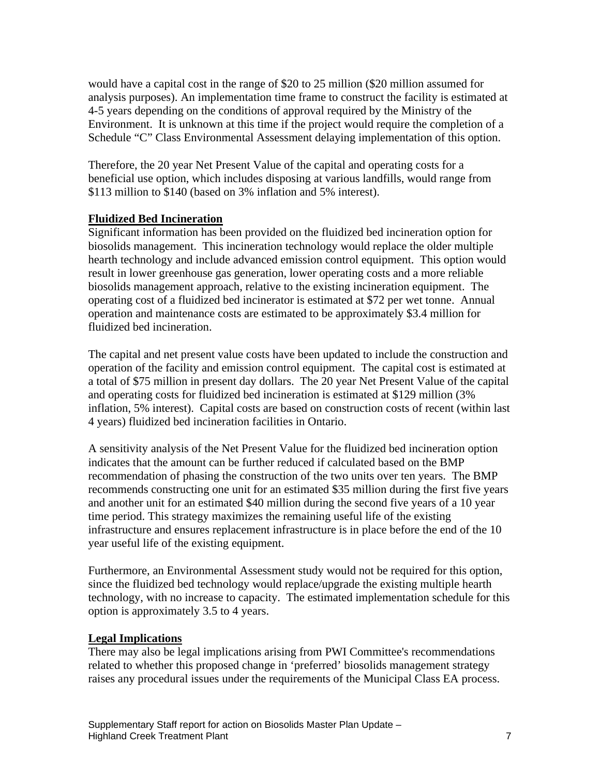would have a capital cost in the range of \$20 to 25 million (\$20 million assumed for analysis purposes). An implementation time frame to construct the facility is estimated at 4-5 years depending on the conditions of approval required by the Ministry of the Environment. It is unknown at this time if the project would require the completion of a Schedule "C" Class Environmental Assessment delaying implementation of this option.

Therefore, the 20 year Net Present Value of the capital and operating costs for a beneficial use option, which includes disposing at various landfills, would range from \$113 million to \$140 (based on 3% inflation and 5% interest).

#### **Fluidized Bed Incineration**

Significant information has been provided on the fluidized bed incineration option for biosolids management. This incineration technology would replace the older multiple hearth technology and include advanced emission control equipment. This option would result in lower greenhouse gas generation, lower operating costs and a more reliable biosolids management approach, relative to the existing incineration equipment. The operating cost of a fluidized bed incinerator is estimated at \$72 per wet tonne. Annual operation and maintenance costs are estimated to be approximately \$3.4 million for fluidized bed incineration.

The capital and net present value costs have been updated to include the construction and operation of the facility and emission control equipment. The capital cost is estimated at a total of \$75 million in present day dollars. The 20 year Net Present Value of the capital and operating costs for fluidized bed incineration is estimated at \$129 million (3% inflation, 5% interest). Capital costs are based on construction costs of recent (within last 4 years) fluidized bed incineration facilities in Ontario.

A sensitivity analysis of the Net Present Value for the fluidized bed incineration option indicates that the amount can be further reduced if calculated based on the BMP recommendation of phasing the construction of the two units over ten years. The BMP recommends constructing one unit for an estimated \$35 million during the first five years and another unit for an estimated \$40 million during the second five years of a 10 year time period. This strategy maximizes the remaining useful life of the existing infrastructure and ensures replacement infrastructure is in place before the end of the 10 year useful life of the existing equipment.

Furthermore, an Environmental Assessment study would not be required for this option, since the fluidized bed technology would replace/upgrade the existing multiple hearth technology, with no increase to capacity. The estimated implementation schedule for this option is approximately 3.5 to 4 years.

#### **Legal Implications**

There may also be legal implications arising from PWI Committee's recommendations related to whether this proposed change in 'preferred' biosolids management strategy raises any procedural issues under the requirements of the Municipal Class EA process.